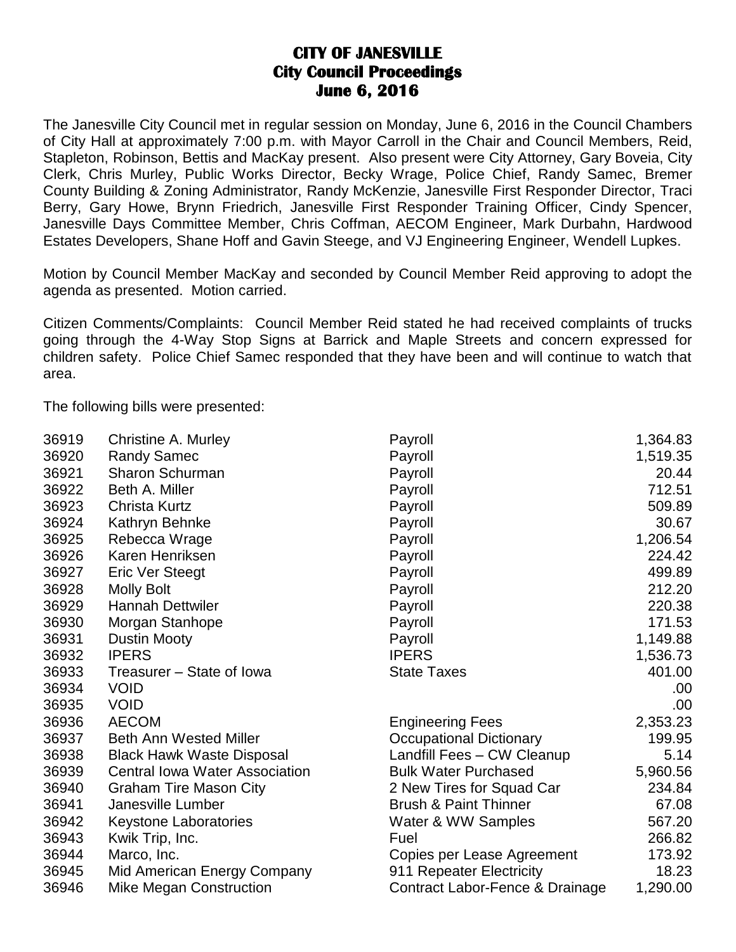## **CITY OF JANESVILLE City Council Proceedings June 6, 2016**

The Janesville City Council met in regular session on Monday, June 6, 2016 in the Council Chambers of City Hall at approximately 7:00 p.m. with Mayor Carroll in the Chair and Council Members, Reid, Stapleton, Robinson, Bettis and MacKay present. Also present were City Attorney, Gary Boveia, City Clerk, Chris Murley, Public Works Director, Becky Wrage, Police Chief, Randy Samec, Bremer County Building & Zoning Administrator, Randy McKenzie, Janesville First Responder Director, Traci Berry, Gary Howe, Brynn Friedrich, Janesville First Responder Training Officer, Cindy Spencer, Janesville Days Committee Member, Chris Coffman, AECOM Engineer, Mark Durbahn, Hardwood Estates Developers, Shane Hoff and Gavin Steege, and VJ Engineering Engineer, Wendell Lupkes.

Motion by Council Member MacKay and seconded by Council Member Reid approving to adopt the agenda as presented. Motion carried.

Citizen Comments/Complaints: Council Member Reid stated he had received complaints of trucks going through the 4-Way Stop Signs at Barrick and Maple Streets and concern expressed for children safety. Police Chief Samec responded that they have been and will continue to watch that area.

The following bills were presented:

| 36919 | Christine A. Murley                   | Payroll                          | 1,364.83 |
|-------|---------------------------------------|----------------------------------|----------|
| 36920 | <b>Randy Samec</b>                    | Payroll                          | 1,519.35 |
| 36921 | Sharon Schurman                       | Payroll                          | 20.44    |
| 36922 | Beth A. Miller                        | Payroll                          | 712.51   |
| 36923 | <b>Christa Kurtz</b>                  | Payroll                          | 509.89   |
| 36924 | Kathryn Behnke                        | Payroll                          | 30.67    |
| 36925 | Rebecca Wrage                         | Payroll                          | 1,206.54 |
| 36926 | Karen Henriksen                       | Payroll                          | 224.42   |
| 36927 | <b>Eric Ver Steegt</b>                | Payroll                          | 499.89   |
| 36928 | <b>Molly Bolt</b>                     | Payroll                          | 212.20   |
| 36929 | <b>Hannah Dettwiler</b>               | Payroll                          | 220.38   |
| 36930 | Morgan Stanhope                       | Payroll                          | 171.53   |
| 36931 | <b>Dustin Mooty</b>                   | Payroll                          | 1,149.88 |
| 36932 | <b>IPERS</b>                          | <b>IPERS</b>                     | 1,536.73 |
| 36933 | Treasurer - State of Iowa             | <b>State Taxes</b>               | 401.00   |
| 36934 | <b>VOID</b>                           |                                  | .00      |
| 36935 | <b>VOID</b>                           |                                  | .00.     |
| 36936 | <b>AECOM</b>                          | <b>Engineering Fees</b>          | 2,353.23 |
| 36937 | <b>Beth Ann Wested Miller</b>         | <b>Occupational Dictionary</b>   | 199.95   |
| 36938 | <b>Black Hawk Waste Disposal</b>      | Landfill Fees - CW Cleanup       | 5.14     |
| 36939 | <b>Central Iowa Water Association</b> | <b>Bulk Water Purchased</b>      | 5,960.56 |
| 36940 | <b>Graham Tire Mason City</b>         | 2 New Tires for Squad Car        | 234.84   |
| 36941 | Janesville Lumber                     | <b>Brush &amp; Paint Thinner</b> | 67.08    |
| 36942 | <b>Keystone Laboratories</b>          | Water & WW Samples               | 567.20   |
| 36943 | Kwik Trip, Inc.                       | Fuel                             | 266.82   |
| 36944 | Marco, Inc.                           | Copies per Lease Agreement       | 173.92   |
| 36945 | Mid American Energy Company           | 911 Repeater Electricity         | 18.23    |
| 36946 | Mike Megan Construction               | Contract Labor-Fence & Drainage  | 1,290.00 |
|       |                                       |                                  |          |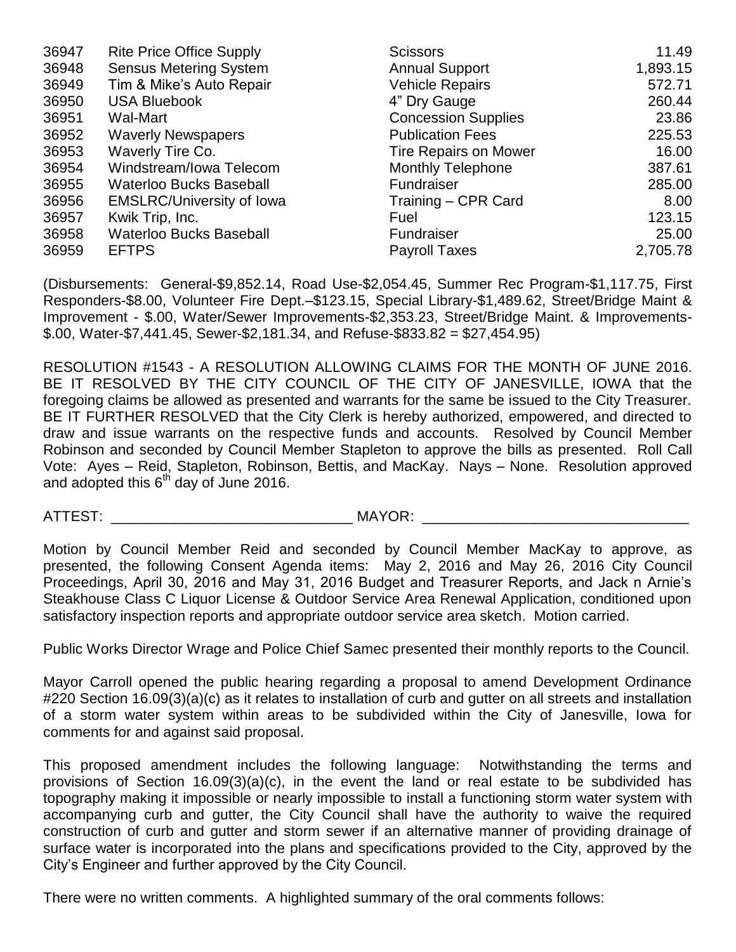| 36947 | <b>Rite Price Office Supply</b>  | <b>Scissors</b>              | 11.49    |
|-------|----------------------------------|------------------------------|----------|
| 36948 | <b>Sensus Metering System</b>    | <b>Annual Support</b>        | 1,893.15 |
| 36949 | Tim & Mike's Auto Repair         | <b>Vehicle Repairs</b>       | 572.71   |
| 36950 | <b>USA Bluebook</b>              | 4" Dry Gauge                 | 260.44   |
| 36951 | Wal-Mart                         | <b>Concession Supplies</b>   | 23.86    |
| 36952 | <b>Waverly Newspapers</b>        | <b>Publication Fees</b>      | 225.53   |
| 36953 | Waverly Tire Co.                 | <b>Tire Repairs on Mower</b> | 16.00    |
| 36954 | Windstream/Iowa Telecom          | <b>Monthly Telephone</b>     | 387.61   |
| 36955 | <b>Waterloo Bucks Baseball</b>   | Fundraiser                   | 285.00   |
| 36956 | <b>EMSLRC/University of Iowa</b> | Training - CPR Card          | 8.00     |
| 36957 | Kwik Trip, Inc.                  | Fuel                         | 123.15   |
| 36958 | <b>Waterloo Bucks Baseball</b>   | Fundraiser                   | 25.00    |
| 36959 | <b>EFTPS</b>                     | <b>Payroll Taxes</b>         | 2,705.78 |

(Disbursements: General-\$9,852.14, Road Use-\$2,054.45, Summer Rec Program-\$1,117.75, First Responders-\$8.00, Volunteer Fire Dept.–\$123.15, Special Library-\$1,489.62, Street/Bridge Maint & Improvement - \$.00, Water/Sewer Improvements-\$2,353.23, Street/Bridge Maint. & Improvements-  $$.00, Water-S7,441.45, Sewer-S2,181.34, and Refuse-S833.82 = $27,454.95)$ 

RESOLUTION #1543 - A RESOLUTION ALLOWING CLAIMS FOR THE MONTH OF JUNE 2016. BE IT RESOLVED BY THE CITY COUNCIL OF THE CITY OF JANESVILLE, IOWA that the foregoing claims be allowed as presented and warrants for the same be issued to the City Treasurer. BE IT FURTHER RESOLVED that the City Clerk is hereby authorized, empowered, and directed to draw and issue warrants on the respective funds and accounts. Resolved by Council Member Robinson and seconded by Council Member Stapleton to approve the bills as presented. Roll Call Vote: Ayes – Reid, Stapleton, Robinson, Bettis, and MacKay. Nays – None. Resolution approved and adopted this  $6<sup>th</sup>$  day of June 2016.

ATTEST: THE MAYOR:

Motion by Council Member Reid and seconded by Council Member MacKay to approve, as presented, the following Consent Agenda items: May 2, 2016 and May 26, 2016 City Council Proceedings, April 30, 2016 and May 31, 2016 Budget and Treasurer Reports, and Jack n Arnie's Steakhouse Class C Liquor License & Outdoor Service Area Renewal Application, conditioned upon satisfactory inspection reports and appropriate outdoor service area sketch. Motion carried.

Public Works Director Wrage and Police Chief Samec presented their monthly reports to the Council.

Mayor Carroll opened the public hearing regarding a proposal to amend Development Ordinance #220 Section 16.09(3)(a)(c) as it relates to installation of curb and gutter on all streets and installation of a storm water system within areas to be subdivided within the City of Janesville, Iowa for comments for and against said proposal.

This proposed amendment includes the following language: Notwithstanding the terms and provisions of Section 16.09(3)(a)(c), in the event the land or real estate to be subdivided has topography making it impossible or nearly impossible to install a functioning storm water system with accompanying curb and gutter, the City Council shall have the authority to waive the required construction of curb and gutter and storm sewer if an alternative manner of providing drainage of surface water is incorporated into the plans and specifications provided to the City, approved by the City's Engineer and further approved by the City Council.

There were no written comments. A highlighted summary of the oral comments follows: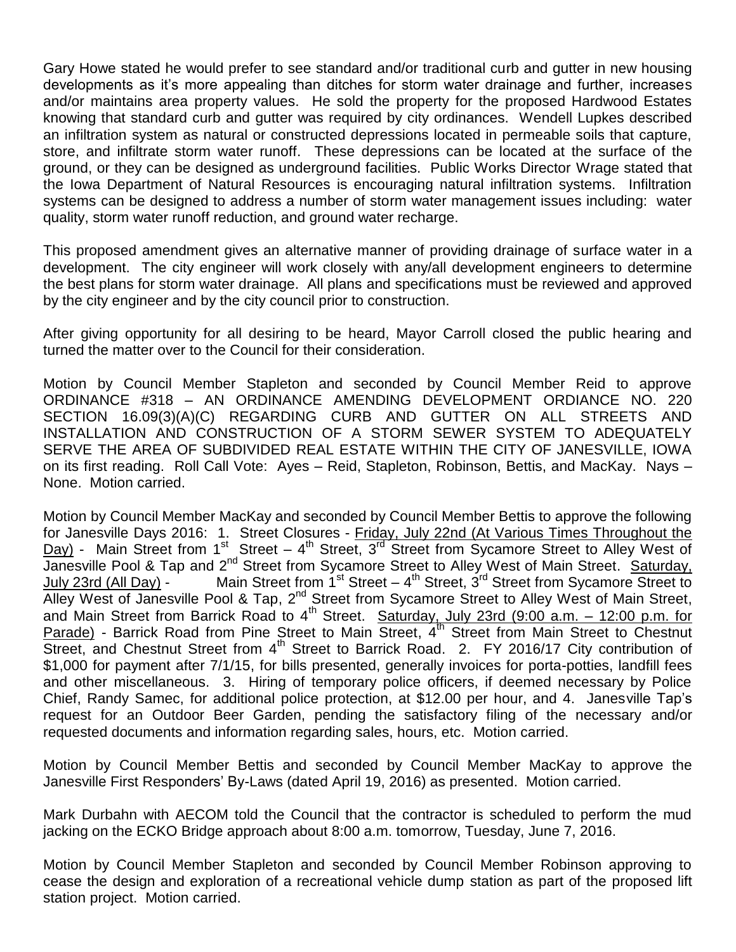Gary Howe stated he would prefer to see standard and/or traditional curb and gutter in new housing developments as it's more appealing than ditches for storm water drainage and further, increases and/or maintains area property values. He sold the property for the proposed Hardwood Estates knowing that standard curb and gutter was required by city ordinances. Wendell Lupkes described an infiltration system as natural or constructed depressions located in permeable soils that capture, store, and infiltrate storm water runoff. These depressions can be located at the surface of the ground, or they can be designed as underground facilities. Public Works Director Wrage stated that the Iowa Department of Natural Resources is encouraging natural infiltration systems. Infiltration systems can be designed to address a number of storm water management issues including: water quality, storm water runoff reduction, and ground water recharge.

This proposed amendment gives an alternative manner of providing drainage of surface water in a development. The city engineer will work closely with any/all development engineers to determine the best plans for storm water drainage. All plans and specifications must be reviewed and approved by the city engineer and by the city council prior to construction.

After giving opportunity for all desiring to be heard, Mayor Carroll closed the public hearing and turned the matter over to the Council for their consideration.

Motion by Council Member Stapleton and seconded by Council Member Reid to approve ORDINANCE #318 – AN ORDINANCE AMENDING DEVELOPMENT ORDIANCE NO. 220 SECTION 16.09(3)(A)(C) REGARDING CURB AND GUTTER ON ALL STREETS AND INSTALLATION AND CONSTRUCTION OF A STORM SEWER SYSTEM TO ADEQUATELY SERVE THE AREA OF SUBDIVIDED REAL ESTATE WITHIN THE CITY OF JANESVILLE, IOWA on its first reading. Roll Call Vote: Ayes – Reid, Stapleton, Robinson, Bettis, and MacKay. Nays – None. Motion carried.

Motion by Council Member MacKay and seconded by Council Member Bettis to approve the following for Janesville Days 2016: 1. Street Closures - Friday, July 22nd (At Various Times Throughout the Day) - Main Street from 1<sup>st</sup> Street – 4<sup>th</sup> Street, 3<sup>rd</sup> Street from Sycamore Street to Alley West of Janesville Pool & Tap and 2<sup>nd</sup> Street from Sycamore Street to Alley West of Main Street. Saturday, July 23rd (All Day) - Main Street from 1<sup>st</sup> Street – 4<sup>th</sup> Street, 3<sup>rd</sup> Street from Sycamore Street to Alley West of Janesville Pool & Tap, 2<sup>nd</sup> Street from Sycamore Street to Alley West of Main Street, and Main Street from Barrick Road to 4<sup>th</sup> Street. Saturday, July 23rd (9:00 a.m. – 12:00 p.m. for Parade) - Barrick Road from Pine Street to Main Street, 4<sup>th</sup> Street from Main Street to Chestnut  $\overline{\text{Street}}$ , and Chestnut Street from  $4^{\text{th}}$  Street to Barrick Road. 2. FY 2016/17 City contribution of \$1,000 for payment after 7/1/15, for bills presented, generally invoices for porta-potties, landfill fees and other miscellaneous. 3. Hiring of temporary police officers, if deemed necessary by Police Chief, Randy Samec, for additional police protection, at \$12.00 per hour, and 4. Janesville Tap's request for an Outdoor Beer Garden, pending the satisfactory filing of the necessary and/or requested documents and information regarding sales, hours, etc. Motion carried.

Motion by Council Member Bettis and seconded by Council Member MacKay to approve the Janesville First Responders' By-Laws (dated April 19, 2016) as presented. Motion carried.

Mark Durbahn with AECOM told the Council that the contractor is scheduled to perform the mud jacking on the ECKO Bridge approach about 8:00 a.m. tomorrow, Tuesday, June 7, 2016.

Motion by Council Member Stapleton and seconded by Council Member Robinson approving to cease the design and exploration of a recreational vehicle dump station as part of the proposed lift station project. Motion carried.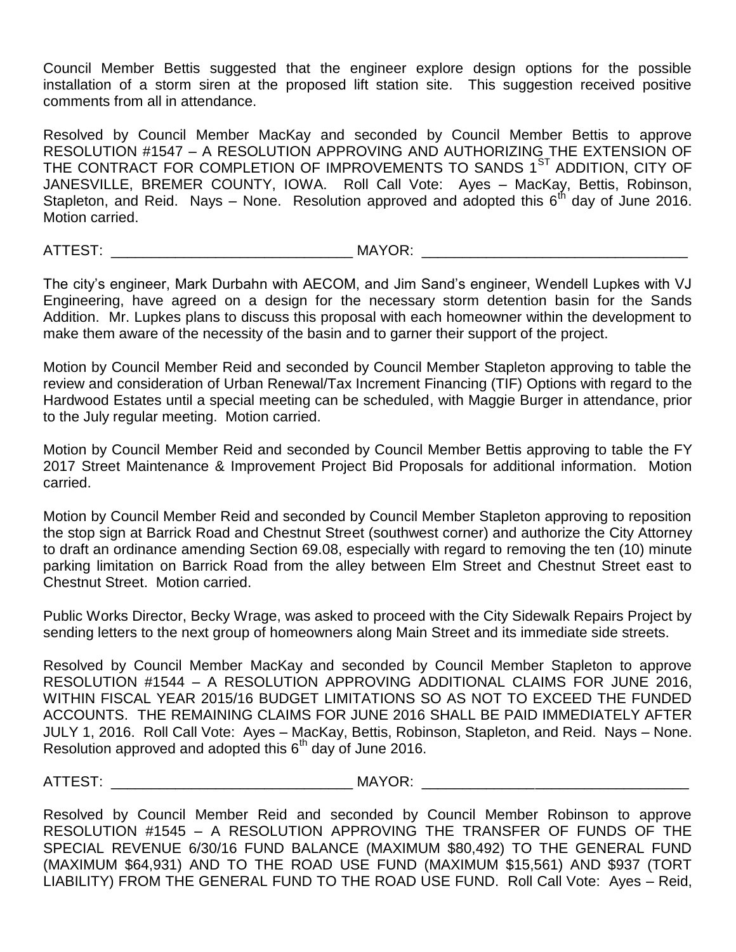Council Member Bettis suggested that the engineer explore design options for the possible installation of a storm siren at the proposed lift station site. This suggestion received positive comments from all in attendance.

Resolved by Council Member MacKay and seconded by Council Member Bettis to approve RESOLUTION #1547 – A RESOLUTION APPROVING AND AUTHORIZING THE EXTENSION OF THE CONTRACT FOR COMPLETION OF IMPROVEMENTS TO SANDS 1<sup>ST</sup> ADDITION, CITY OF JANESVILLE, BREMER COUNTY, IOWA. Roll Call Vote: Ayes – MacKay, Bettis, Robinson, Stapleton, and Reid. Nays – None. Resolution approved and adopted this  $6<sup>th</sup>$  day of June 2016. Motion carried.

ATTEST: \_\_\_\_\_\_\_\_\_\_\_\_\_\_\_\_\_\_\_\_\_\_\_\_\_\_\_\_\_\_ MAYOR: \_\_\_\_\_\_\_\_\_\_\_\_\_\_\_\_\_\_\_\_\_\_\_\_\_\_\_\_\_\_\_\_\_

The city's engineer, Mark Durbahn with AECOM, and Jim Sand's engineer, Wendell Lupkes with VJ Engineering, have agreed on a design for the necessary storm detention basin for the Sands Addition. Mr. Lupkes plans to discuss this proposal with each homeowner within the development to make them aware of the necessity of the basin and to garner their support of the project.

Motion by Council Member Reid and seconded by Council Member Stapleton approving to table the review and consideration of Urban Renewal/Tax Increment Financing (TIF) Options with regard to the Hardwood Estates until a special meeting can be scheduled, with Maggie Burger in attendance, prior to the July regular meeting. Motion carried.

Motion by Council Member Reid and seconded by Council Member Bettis approving to table the FY 2017 Street Maintenance & Improvement Project Bid Proposals for additional information. Motion carried.

Motion by Council Member Reid and seconded by Council Member Stapleton approving to reposition the stop sign at Barrick Road and Chestnut Street (southwest corner) and authorize the City Attorney to draft an ordinance amending Section 69.08, especially with regard to removing the ten (10) minute parking limitation on Barrick Road from the alley between Elm Street and Chestnut Street east to Chestnut Street. Motion carried.

Public Works Director, Becky Wrage, was asked to proceed with the City Sidewalk Repairs Project by sending letters to the next group of homeowners along Main Street and its immediate side streets.

Resolved by Council Member MacKay and seconded by Council Member Stapleton to approve RESOLUTION #1544 – A RESOLUTION APPROVING ADDITIONAL CLAIMS FOR JUNE 2016, WITHIN FISCAL YEAR 2015/16 BUDGET LIMITATIONS SO AS NOT TO EXCEED THE FUNDED ACCOUNTS. THE REMAINING CLAIMS FOR JUNE 2016 SHALL BE PAID IMMEDIATELY AFTER JULY 1, 2016. Roll Call Vote: Ayes – MacKay, Bettis, Robinson, Stapleton, and Reid. Nays – None. Resolution approved and adopted this  $6<sup>th</sup>$  day of June 2016.

ATTEST: \_\_\_\_\_\_\_\_\_\_\_\_\_\_\_\_\_\_\_\_\_\_\_\_\_\_\_\_\_\_ MAYOR: \_\_\_\_\_\_\_\_\_\_\_\_\_\_\_\_\_\_\_\_\_\_\_\_\_\_\_\_\_\_\_\_\_

Resolved by Council Member Reid and seconded by Council Member Robinson to approve RESOLUTION #1545 – A RESOLUTION APPROVING THE TRANSFER OF FUNDS OF THE SPECIAL REVENUE 6/30/16 FUND BALANCE (MAXIMUM \$80,492) TO THE GENERAL FUND (MAXIMUM \$64,931) AND TO THE ROAD USE FUND (MAXIMUM \$15,561) AND \$937 (TORT LIABILITY) FROM THE GENERAL FUND TO THE ROAD USE FUND. Roll Call Vote: Ayes – Reid,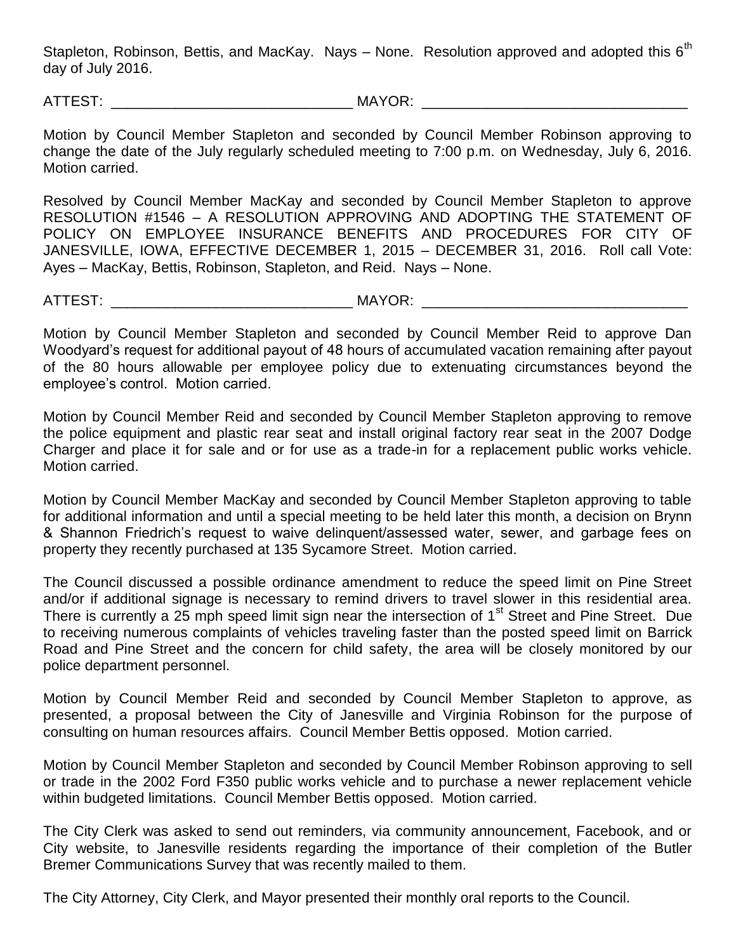Stapleton, Robinson, Bettis, and MacKay. Nays - None. Resolution approved and adopted this  $6<sup>th</sup>$ day of July 2016.

ATTEST: \_\_\_\_\_\_\_\_\_\_\_\_\_\_\_\_\_\_\_\_\_\_\_\_\_\_\_\_\_\_ MAYOR: \_\_\_\_\_\_\_\_\_\_\_\_\_\_\_\_\_\_\_\_\_\_\_\_\_\_\_\_\_\_\_\_\_

Motion by Council Member Stapleton and seconded by Council Member Robinson approving to change the date of the July regularly scheduled meeting to 7:00 p.m. on Wednesday, July 6, 2016. Motion carried.

Resolved by Council Member MacKay and seconded by Council Member Stapleton to approve RESOLUTION #1546 – A RESOLUTION APPROVING AND ADOPTING THE STATEMENT OF POLICY ON EMPLOYEE INSURANCE BENEFITS AND PROCEDURES FOR CITY OF JANESVILLE, IOWA, EFFECTIVE DECEMBER 1, 2015 – DECEMBER 31, 2016. Roll call Vote: Ayes – MacKay, Bettis, Robinson, Stapleton, and Reid. Nays – None.

ATTEST: \_\_\_\_\_\_\_\_\_\_\_\_\_\_\_\_\_\_\_\_\_\_\_\_\_\_\_\_\_\_ MAYOR: \_\_\_\_\_\_\_\_\_\_\_\_\_\_\_\_\_\_\_\_\_\_\_\_\_\_\_\_\_\_\_\_\_

Motion by Council Member Stapleton and seconded by Council Member Reid to approve Dan Woodyard's request for additional payout of 48 hours of accumulated vacation remaining after payout of the 80 hours allowable per employee policy due to extenuating circumstances beyond the employee's control. Motion carried.

Motion by Council Member Reid and seconded by Council Member Stapleton approving to remove the police equipment and plastic rear seat and install original factory rear seat in the 2007 Dodge Charger and place it for sale and or for use as a trade-in for a replacement public works vehicle. Motion carried.

Motion by Council Member MacKay and seconded by Council Member Stapleton approving to table for additional information and until a special meeting to be held later this month, a decision on Brynn & Shannon Friedrich's request to waive delinquent/assessed water, sewer, and garbage fees on property they recently purchased at 135 Sycamore Street. Motion carried.

The Council discussed a possible ordinance amendment to reduce the speed limit on Pine Street and/or if additional signage is necessary to remind drivers to travel slower in this residential area. There is currently a 25 mph speed limit sign near the intersection of 1<sup>st</sup> Street and Pine Street. Due to receiving numerous complaints of vehicles traveling faster than the posted speed limit on Barrick Road and Pine Street and the concern for child safety, the area will be closely monitored by our police department personnel.

Motion by Council Member Reid and seconded by Council Member Stapleton to approve, as presented, a proposal between the City of Janesville and Virginia Robinson for the purpose of consulting on human resources affairs. Council Member Bettis opposed. Motion carried.

Motion by Council Member Stapleton and seconded by Council Member Robinson approving to sell or trade in the 2002 Ford F350 public works vehicle and to purchase a newer replacement vehicle within budgeted limitations. Council Member Bettis opposed. Motion carried.

The City Clerk was asked to send out reminders, via community announcement, Facebook, and or City website, to Janesville residents regarding the importance of their completion of the Butler Bremer Communications Survey that was recently mailed to them.

The City Attorney, City Clerk, and Mayor presented their monthly oral reports to the Council.